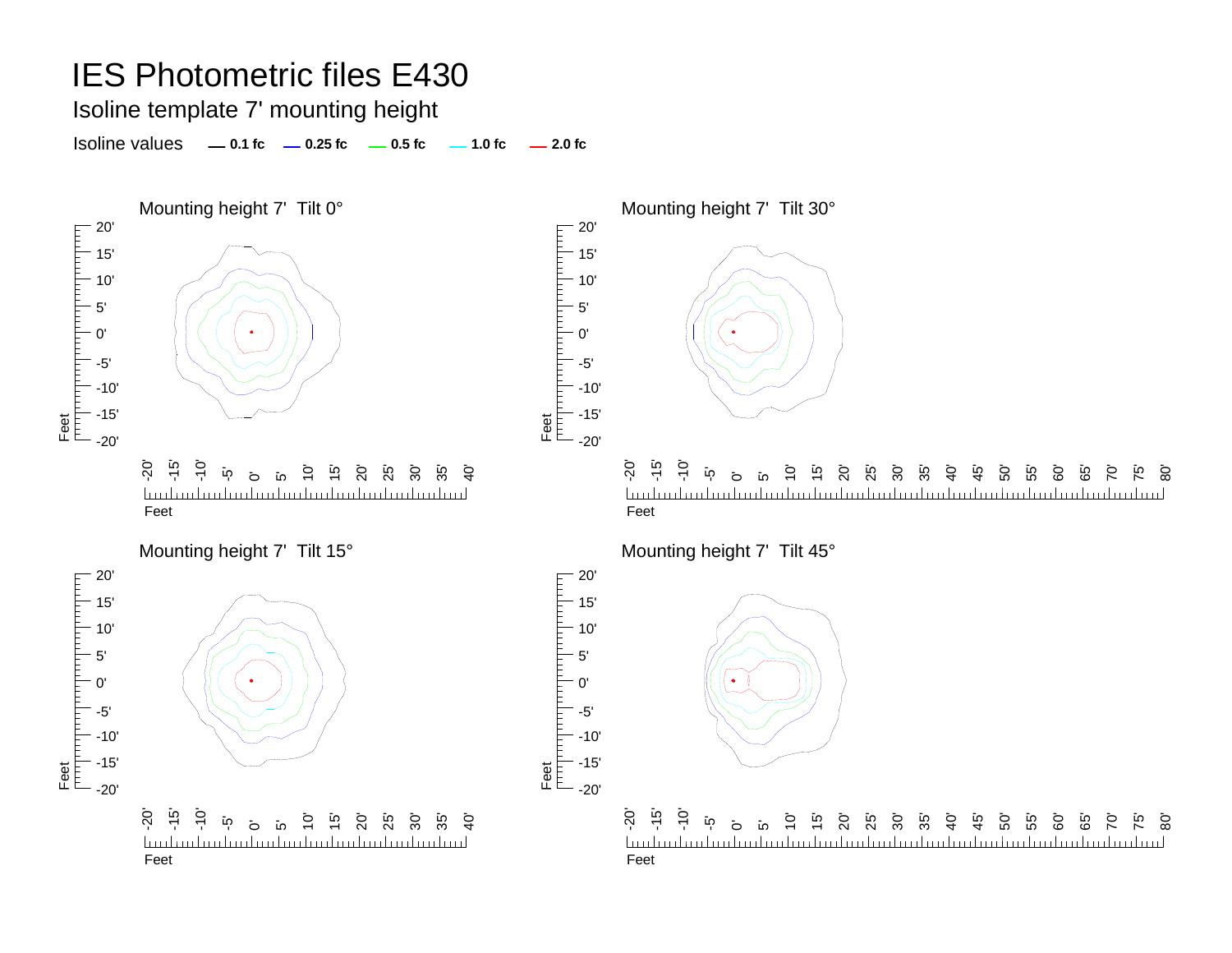Isoline template 7' mounting height

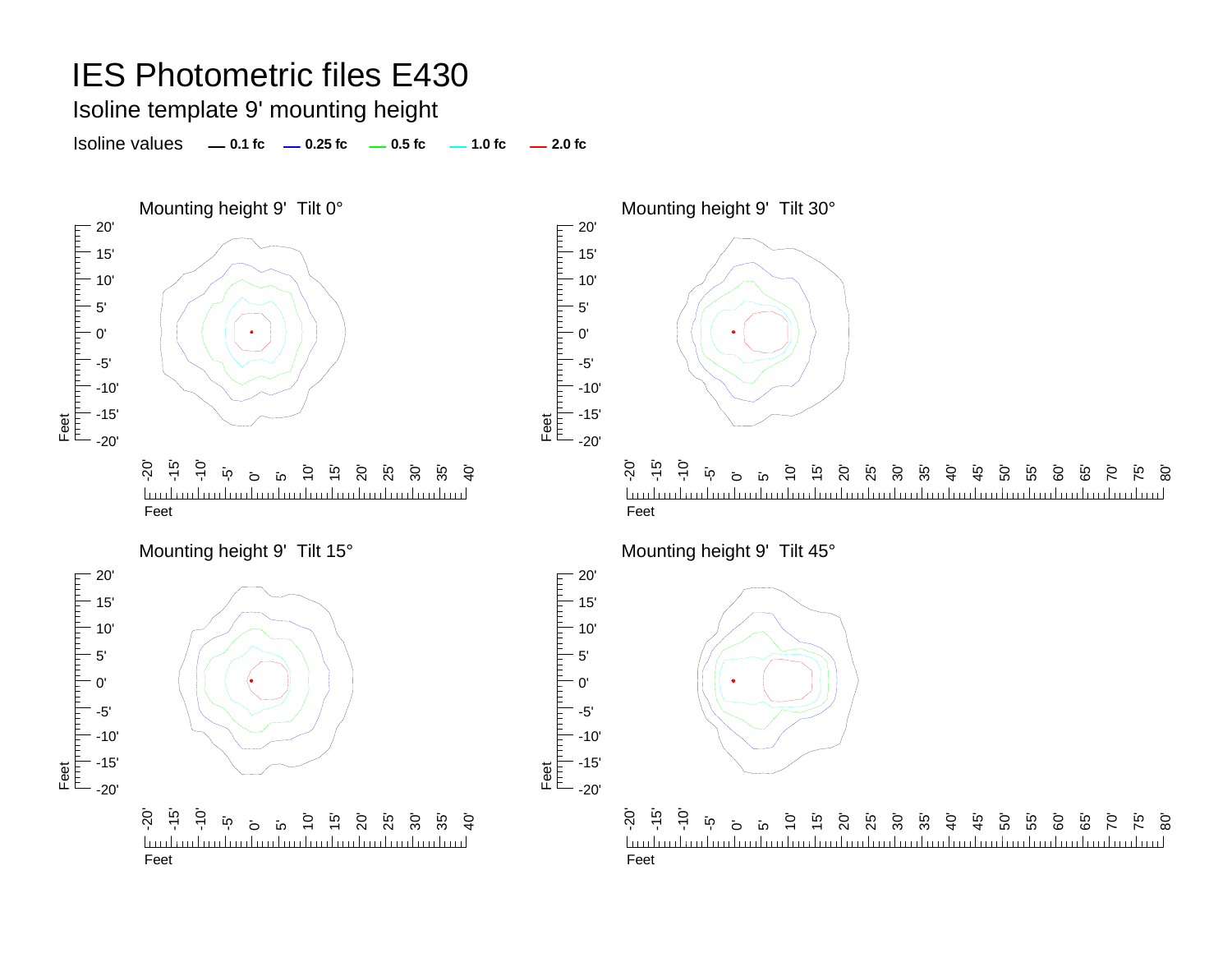Isoline template 9' mounting height

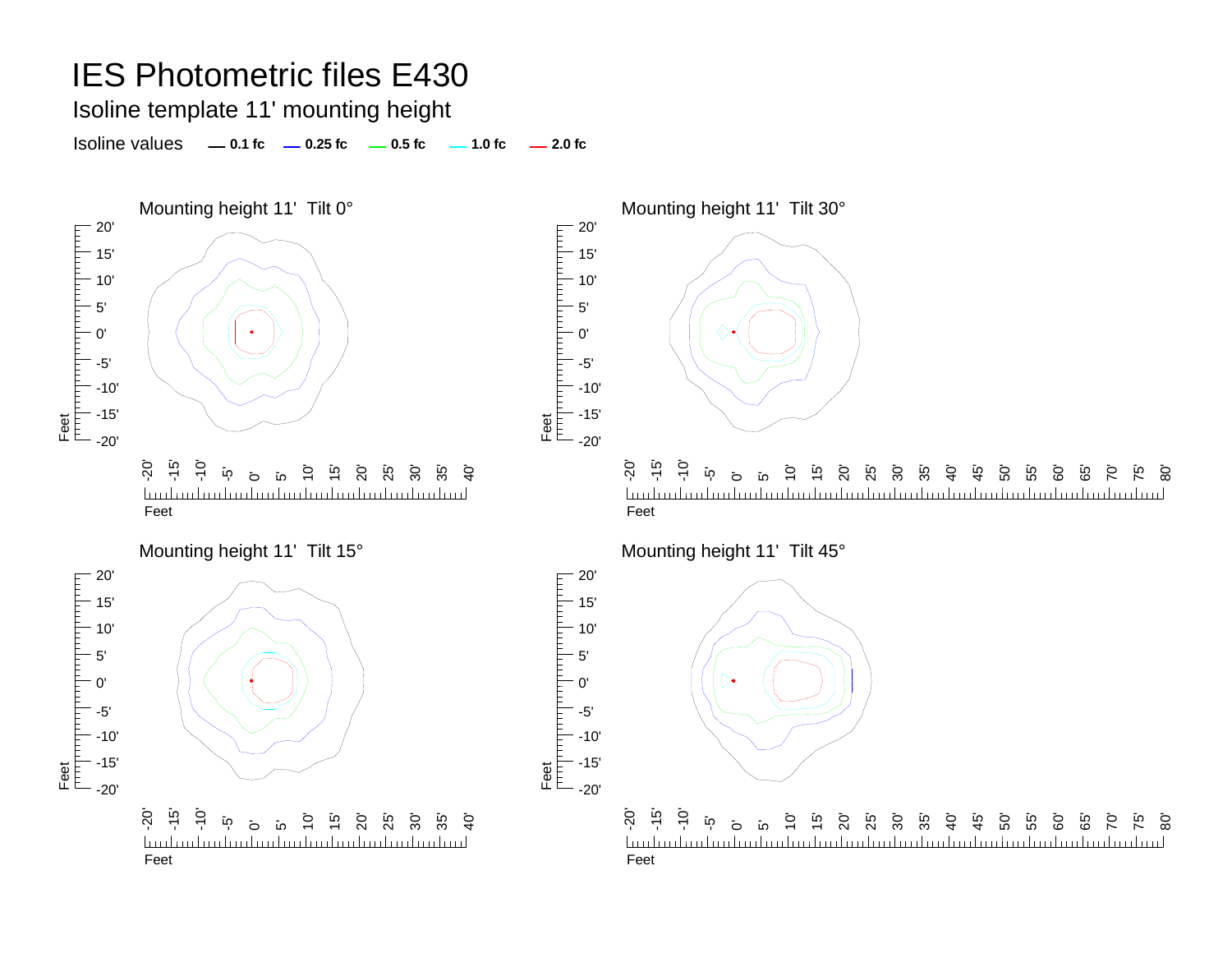Isoline template 11' mounting height

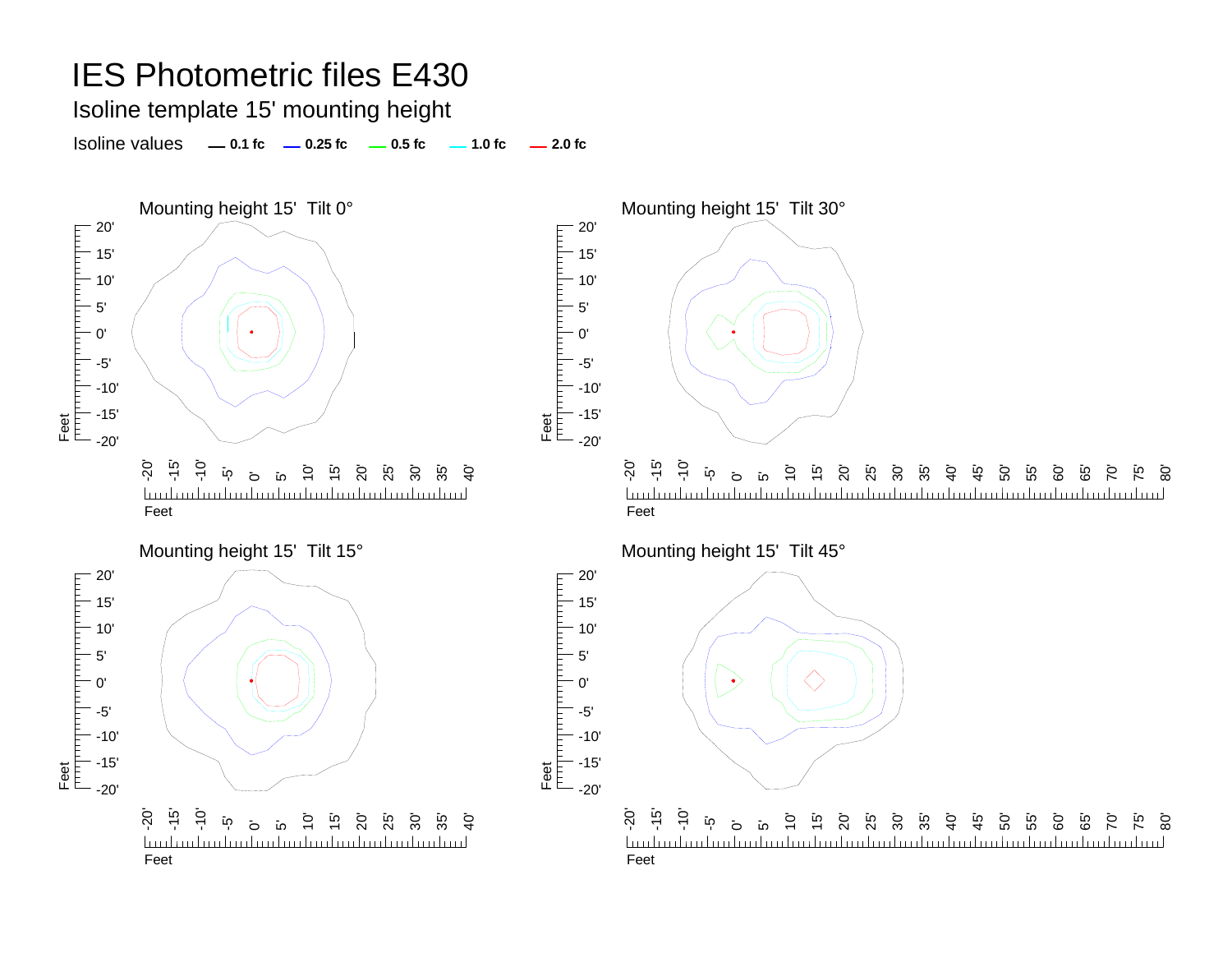Isoline template 15' mounting height

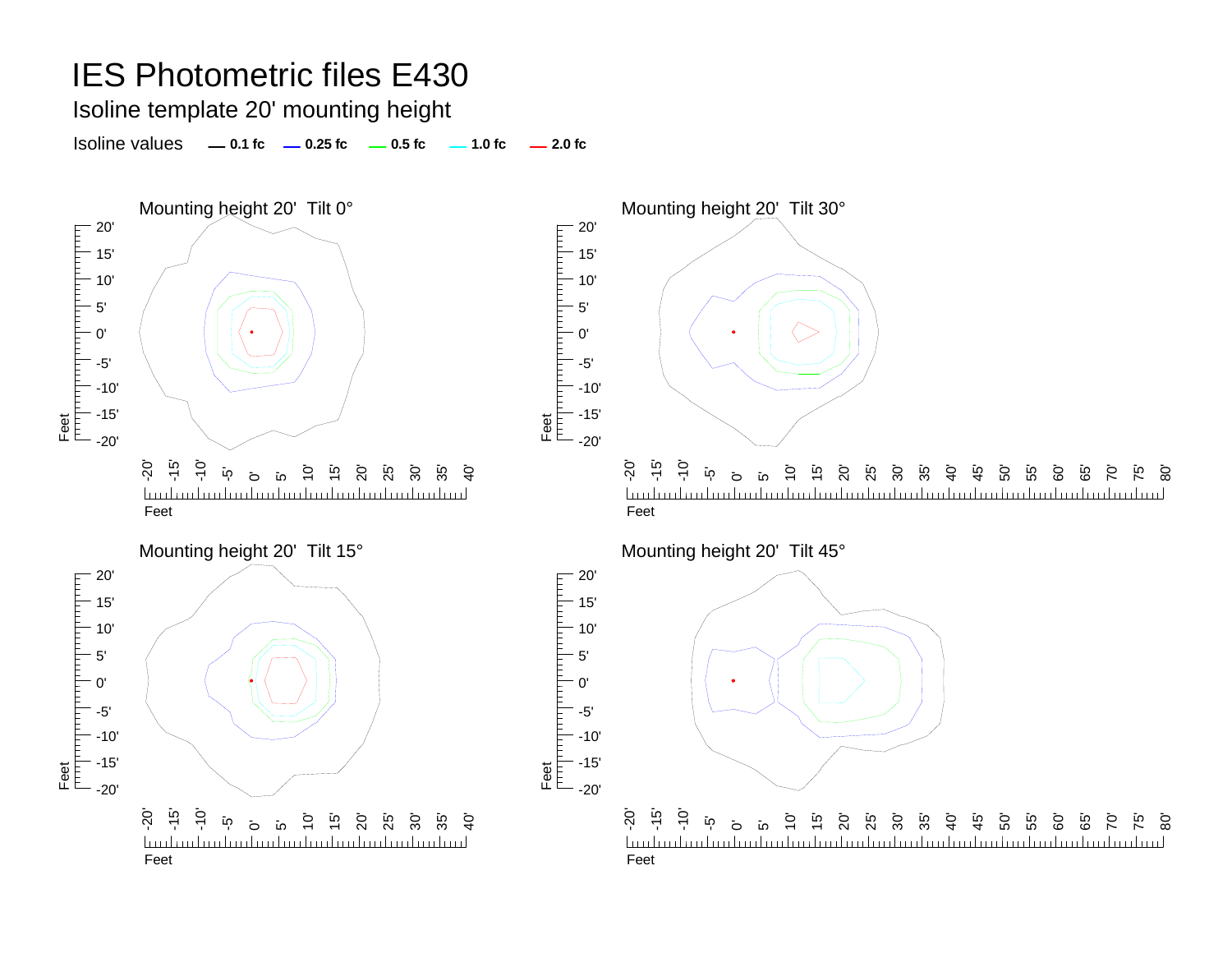Isoline template 20' mounting height

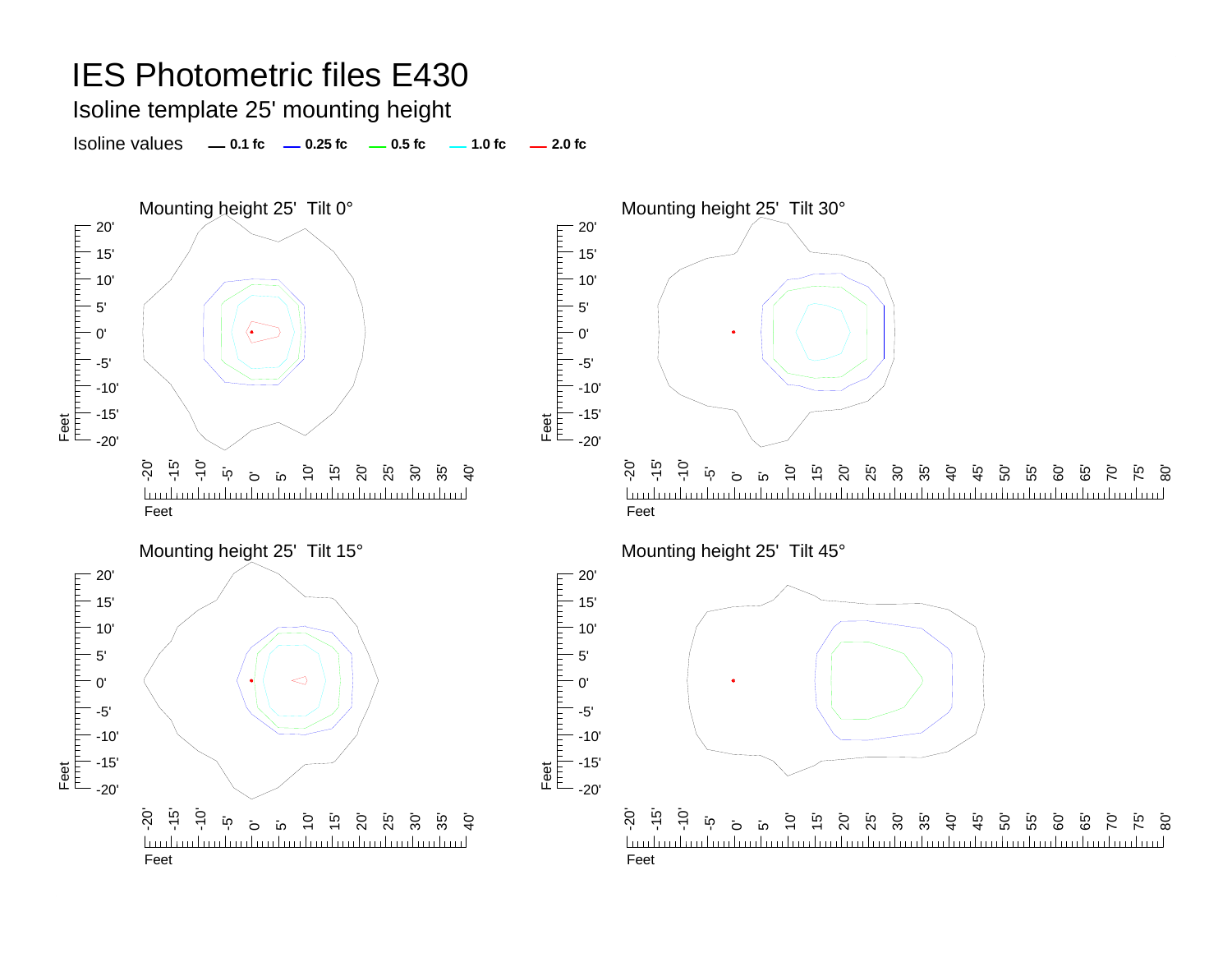Isoline template 25' mounting height